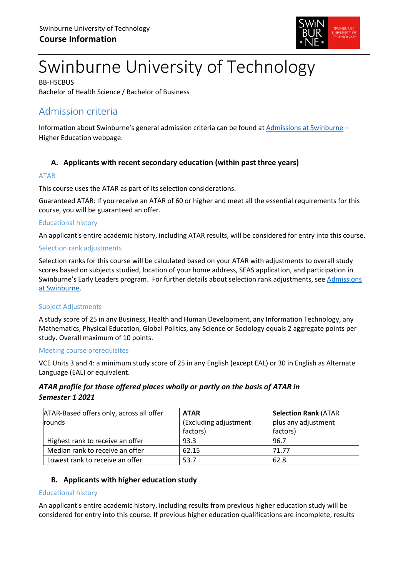

# Swinburne University of Technology

BB-HSCBUS Bachelor of Health Science / Bachelor of Business

# Admission criteria

Information about Swinburne's general admission criteria can be found at [Admissions at Swinburne](https://www.swinburne.edu.au/study/degrees/apply/admissions/) – Higher Education webpage.

# **A. Applicants with recent secondary education (within past three years)**

#### ATAR

This course uses the ATAR as part of its selection considerations.

Guaranteed ATAR: If you receive an ATAR of 60 or higher and meet all the essential requirements for this course, you will be guaranteed an offer.

#### Educational history

An applicant's entire academic history, including ATAR results, will be considered for entry into this course.

#### Selection rank adjustments

Selection ranks for this course will be calculated based on your ATAR with adjustments to overall study scores based on subjects studied, location of your home address, SEAS application, and participation in Swinburne's Early Leaders program. For further details about selection rank adjustments, see [Admissions](https://www.swinburne.edu.au/study/degrees/apply/admissions/)  [at Swinburne.](https://www.swinburne.edu.au/study/degrees/apply/admissions/)

#### Subject Adjustments

A study score of 25 in any Business, Health and Human Development, any Information Technology, any Mathematics, Physical Education, Global Politics, any Science or Sociology equals 2 aggregate points per study. Overall maximum of 10 points.

#### Meeting course prerequisites

VCE Units 3 and 4: a minimum study score of 25 in any English (except EAL) or 30 in English as Alternate Language (EAL) or equivalent.

## *ATAR profile for those offered places wholly or partly on the basis of ATAR in Semester 1 2021*

| ATAR-Based offers only, across all offer | <b>ATAR</b>           | <b>Selection Rank (ATAR</b> |  |
|------------------------------------------|-----------------------|-----------------------------|--|
| rounds                                   | (Excluding adjustment | plus any adjustment         |  |
|                                          | factors)              | factors)                    |  |
| Highest rank to receive an offer         | 93.3                  | 96.7                        |  |
| Median rank to receive an offer          | 62.15                 | 71.77                       |  |
| Lowest rank to receive an offer          | 53.7                  | 62.8                        |  |

## **B. Applicants with higher education study**

#### Educational history

An applicant's entire academic history, including results from previous higher education study will be considered for entry into this course. If previous higher education qualifications are incomplete, results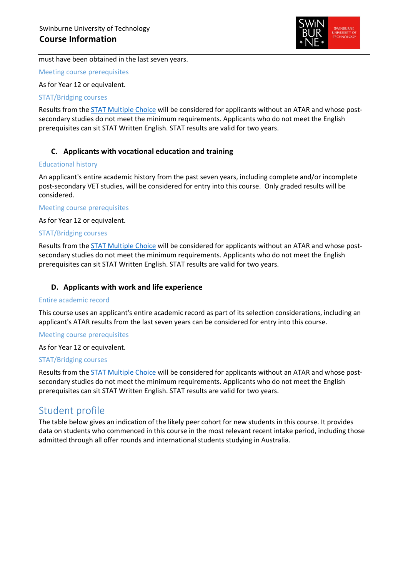

must have been obtained in the last seven years.

Meeting course prerequisites

As for Year 12 or equivalent.

#### STAT/Bridging courses

Results from the [STAT Multiple Choice](https://www.swinburne.edu.au/study/degrees/apply/admissions-test/) will be considered for applicants without an ATAR and whose postsecondary studies do not meet the minimum requirements. Applicants who do not meet the English prerequisites can sit STAT Written English. STAT results are valid for two years.

## **C. Applicants with vocational education and training**

#### Educational history

An applicant's entire academic history from the past seven years, including complete and/or incomplete post-secondary VET studies, will be considered for entry into this course. Only graded results will be considered.

#### Meeting course prerequisites

As for Year 12 or equivalent.

#### STAT/Bridging courses

Results from the [STAT Multiple Choice](https://www.swinburne.edu.au/study/degrees/apply/admissions-test/) will be considered for applicants without an ATAR and whose postsecondary studies do not meet the minimum requirements. Applicants who do not meet the English prerequisites can sit STAT Written English. STAT results are valid for two years.

#### **D. Applicants with work and life experience**

#### Entire academic record

This course uses an applicant's entire academic record as part of its selection considerations, including an applicant's ATAR results from the last seven years can be considered for entry into this course.

#### Meeting course prerequisites

#### As for Year 12 or equivalent.

#### STAT/Bridging courses

Results from the [STAT Multiple Choice](https://www.swinburne.edu.au/study/degrees/apply/admissions-test/) will be considered for applicants without an ATAR and whose postsecondary studies do not meet the minimum requirements. Applicants who do not meet the English prerequisites can sit STAT Written English. STAT results are valid for two years.

# Student profile

The table below gives an indication of the likely peer cohort for new students in this course. It provides data on students who commenced in this course in the most relevant recent intake period, including those admitted through all offer rounds and international students studying in Australia.